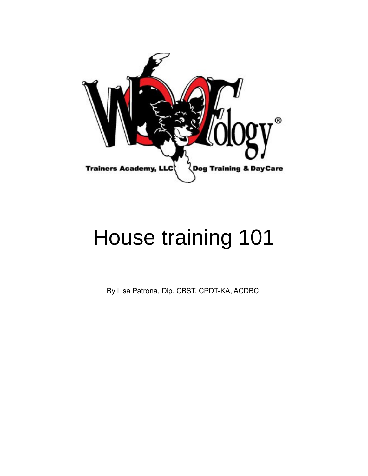

# House training 101

By Lisa Patrona, Dip. CBST, CPDT-KA, ACDBC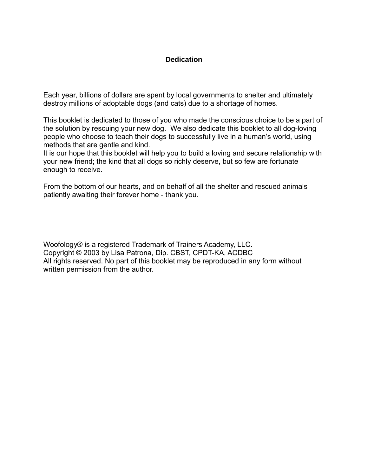### **Dedication**

Each year, billions of dollars are spent by local governments to shelter and ultimately destroy millions of adoptable dogs (and cats) due to a shortage of homes.

This booklet is dedicated to those of you who made the conscious choice to be a part of the solution by rescuing your new dog. We also dedicate this booklet to all dog-loving people who choose to teach their dogs to successfully live in a human's world, using methods that are gentle and kind.

It is our hope that this booklet will help you to build a loving and secure relationship with your new friend; the kind that all dogs so richly deserve, but so few are fortunate enough to receive.

From the bottom of our hearts, and on behalf of all the shelter and rescued animals patiently awaiting their forever home - thank you.

Woofology® is a registered Trademark of Trainers Academy, LLC. Copyright © 2003 by Lisa Patrona, Dip. CBST, CPDT-KA, ACDBC All rights reserved. No part of this booklet may be reproduced in any form without written permission from the author.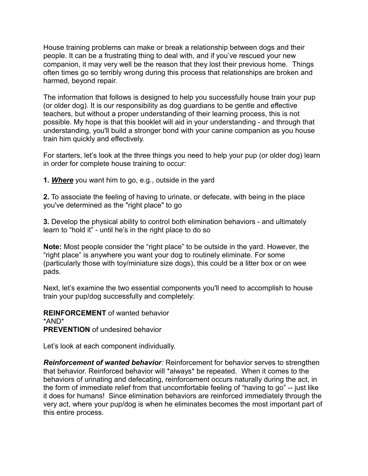House training problems can make or break a relationship between dogs and their people. It can be a frustrating thing to deal with, and if you've rescued your new companion, it may very well be the reason that they lost their previous home. Things often times go so terribly wrong during this process that relationships are broken and harmed, beyond repair.

The information that follows is designed to help you successfully house train your pup (or older dog). It is our responsibility as dog guardians to be gentle and effective teachers, but without a proper understanding of their learning process, this is not possible. My hope is that this booklet will aid in your understanding - and through that understanding, you'll build a stronger bond with your canine companion as you house train him quickly and effectively.

For starters, let's look at the three things you need to help your pup (or older dog) learn in order for complete house training to occur:

**1.** *Where* you want him to go, e.g., outside in the yard

**2.** To associate the feeling of having to urinate, or defecate, with being in the place you've determined as the "right place" to go

**3.** Develop the physical ability to control both elimination behaviors - and ultimately learn to "hold it" - until he's in the right place to do so

**Note:** Most people consider the "right place" to be outside in the yard. However, the "right place" is anywhere you want your dog to routinely eliminate. For some (particularly those with toy/miniature size dogs), this could be a litter box or on wee pads.

Next, let's examine the two essential components you'll need to accomplish to house train your pup/dog successfully and completely:

**REINFORCEMENT** of wanted behavior \*AND\* **PREVENTION** of undesired behavior

Let's look at each component individually.

*Reinforcement of wanted behavior:* Reinforcement for behavior serves to strengthen that behavior. Reinforced behavior will \*always\* be repeated. When it comes to the behaviors of urinating and defecating, reinforcement occurs naturally during the act, in the form of immediate relief from that uncomfortable feeling of "having to go" -- just like it does for humans! Since elimination behaviors are reinforced immediately through the very act, where your pup/dog is when he eliminates becomes the most important part of this entire process.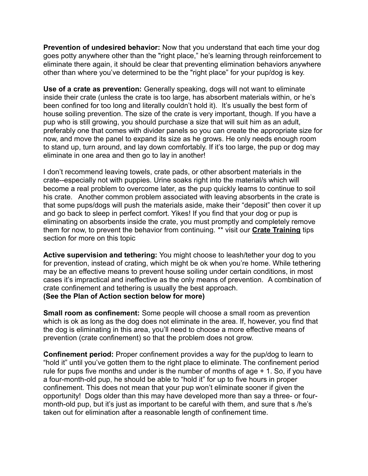**Prevention of undesired behavior:** Now that you understand that each time your dog goes potty anywhere other than the "right place," he's learning through reinforcement to eliminate there again, it should be clear that preventing elimination behaviors anywhere other than where you've determined to be the "right place" for your pup/dog is key.

**Use of a crate as prevention:** Generally speaking, dogs will not want to eliminate inside their crate (unless the crate is too large, has absorbent materials within, or he's been confined for too long and literally couldn't hold it). It's usually the best form of house soiling prevention. The size of the crate is very important, though. If you have a pup who is still growing, you should purchase a size that will suit him as an adult, preferably one that comes with divider panels so you can create the appropriate size for now, and move the panel to expand its size as he grows. He only needs enough room to stand up, turn around, and lay down comfortably. If it's too large, the pup or dog may eliminate in one area and then go to lay in another!

I don't recommend leaving towels, crate pads, or other absorbent materials in the crate--especially not with puppies. Urine soaks right into the material/s which will become a real problem to overcome later, as the pup quickly learns to continue to soil his crate. Another common problem associated with leaving absorbents in the crate is that some pups/dogs will push the materials aside, make their "deposit" then cover it up and go back to sleep in perfect comfort. Yikes! If you find that your dog or pup is eliminating on absorbents inside the crate, you must promptly and completely remove them for now, to prevent the behavior from continuing. \*\* visit our **[Crate Training](http://woofology.info/cratetrainingtips.htm)** tips section for more on this topic

**Active supervision and tethering:** You might choose to leash/tether your dog to you for prevention, instead of crating, which might be ok when you're home. While tethering may be an effective means to prevent house soiling under certain conditions, in most cases it's impractical and ineffective as the only means of prevention. A combination of crate confinement and tethering is usually the best approach. **(See the Plan of Action section below for more)**

**Small room as confinement:** Some people will choose a small room as prevention which is ok as long as the dog does not eliminate in the area. If, however, you find that the dog is eliminating in this area, you'll need to choose a more effective means of prevention (crate confinement) so that the problem does not grow.

**Confinement period:** Proper confinement provides a way for the pup/dog to learn to "hold it" until you've gotten them to the right place to eliminate. The confinement period rule for pups five months and under is the number of months of age + 1. So, if you have a four-month-old pup, he should be able to "hold it" for up to five hours in proper confinement. This does not mean that your pup won't eliminate sooner if given the opportunity! Dogs older than this may have developed more than say a three- or fourmonth-old pup, but it's just as important to be careful with them, and sure that s /he's taken out for elimination after a reasonable length of confinement time.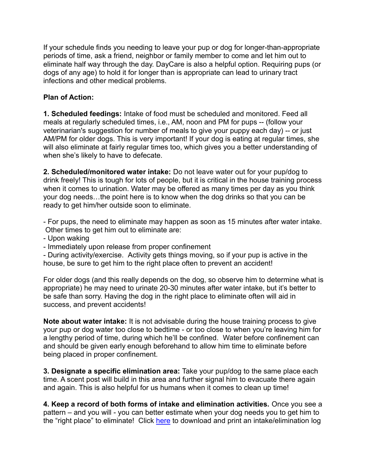If your schedule finds you needing to leave your pup or dog for longer-than-appropriate periods of time, ask a friend, neighbor or family member to come and let him out to eliminate half way through the day. DayCare is also a helpful option. Requiring pups (or dogs of any age) to hold it for longer than is appropriate can lead to urinary tract infections and other medical problems.

## **Plan of Action:**

**1. Scheduled feedings:** Intake of food must be scheduled and monitored. Feed all meals at regularly scheduled times, i.e., AM, noon and PM for pups -- (follow your veterinarian's suggestion for number of meals to give your puppy each day) -- or just AM/PM for older dogs. This is very important! If your dog is eating at regular times, she will also eliminate at fairly regular times too, which gives you a better understanding of when she's likely to have to defecate.

**2. Scheduled/monitored water intake:** Do not leave water out for your pup/dog to drink freely! This is tough for lots of people, but it is critical in the house training process when it comes to urination. Water may be offered as many times per day as you think your dog needs…the point here is to know when the dog drinks so that you can be ready to get him/her outside soon to eliminate.

- For pups, the need to eliminate may happen as soon as 15 minutes after water intake. Other times to get him out to eliminate are:

- Upon waking
- Immediately upon release from proper confinement

- During activity/exercise. Activity gets things moving, so if your pup is active in the house, be sure to get him to the right place often to prevent an accident!

For older dogs (and this really depends on the dog, so observe him to determine what is appropriate) he may need to urinate 20-30 minutes after water intake, but it's better to be safe than sorry. Having the dog in the right place to eliminate often will aid in success, and prevent accidents!

**Note about water intake:** It is not advisable during the house training process to give your pup or dog water too close to bedtime - or too close to when you're leaving him for a lengthy period of time, during which he'll be confined. Water before confinement can and should be given early enough beforehand to allow him time to eliminate before being placed in proper confinement.

**3. Designate a specific elimination area:** Take your pup/dog to the same place each time. A scent post will build in this area and further signal him to evacuate there again and again. This is also helpful for us humans when it comes to clean up time!

**4. Keep a record of both forms of intake and elimination activities.** Once you see a pattern – and you will - you can better estimate when your dog needs you to get him to the "right place" to eliminate! Click [here](https://03ac0f07-ac96-4ef3-9ffb-749c294d9796.filesusr.com/ugd/bf830b_27cab113657b441e985995323fced9f7.pdf) to download and print an intake/elimination log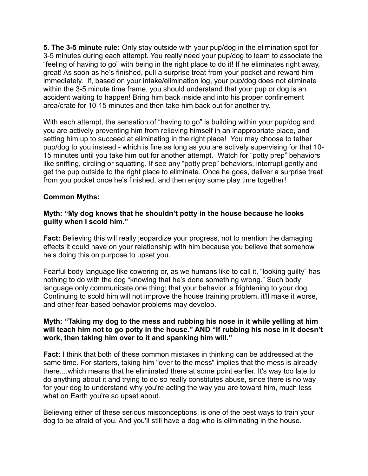**5. The 3-5 minute rule:** Only stay outside with your pup/dog in the elimination spot for 3-5 minutes during each attempt. You really need your pup/dog to learn to associate the "feeling of having to go" with being in the right place to do it! If he eliminates right away, great! As soon as he's finished, pull a surprise treat from your pocket and reward him immediately. If, based on your intake/elimination log, your pup/dog does not eliminate within the 3-5 minute time frame, you should understand that your pup or dog is an accident waiting to happen! Bring him back inside and into his proper confinement area/crate for 10-15 minutes and then take him back out for another try.

With each attempt, the sensation of "having to go" is building within your pup/dog and you are actively preventing him from relieving himself in an inappropriate place, and setting him up to succeed at eliminating in the right place! You may choose to tether pup/dog to you instead - which is fine as long as you are actively supervising for that 10- 15 minutes until you take him out for another attempt. Watch for "potty prep" behaviors like sniffing, circling or squatting. If see any "potty prep" behaviors, interrupt gently and get the pup outside to the right place to eliminate. Once he goes, deliver a surprise treat from you pocket once he's finished, and then enjoy some play time together!

#### **Common Myths:**

#### **Myth: "My dog knows that he shouldn't potty in the house because he looks guilty when I scold him."**

**Fact:** Believing this will really jeopardize your progress, not to mention the damaging effects it could have on your relationship with him because you believe that somehow he's doing this on purpose to upset you.

Fearful body language like cowering or, as we humans like to call it, "looking guilty" has nothing to do with the dog "knowing that he's done something wrong." Such body language only communicate one thing; that your behavior is frightening to your dog. Continuing to scold him will not improve the house training problem, it'll make it worse, and other fear-based behavior problems may develop.

#### **Myth: "Taking my dog to the mess and rubbing his nose in it while yelling at him will teach him not to go potty in the house." AND "If rubbing his nose in it doesn't work, then taking him over to it and spanking him will."**

**Fact:** I think that both of these common mistakes in thinking can be addressed at the same time. For starters, taking him "over to the mess" implies that the mess is already there....which means that he eliminated there at some point earlier. It's way too late to do anything about it and trying to do so really constitutes abuse, since there is no way for your dog to understand why you're acting the way you are toward him, much less what on Earth you're so upset about.

Believing either of these serious misconceptions, is one of the best ways to train your dog to be afraid of you. And you'll still have a dog who is eliminating in the house.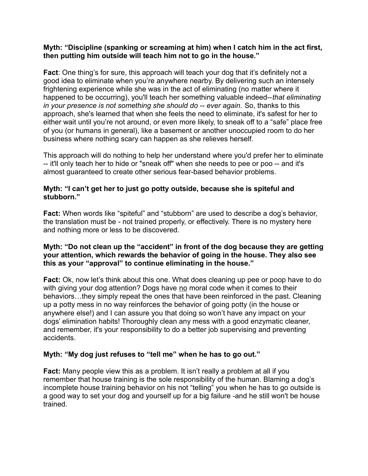#### **Myth: "Discipline (spanking or screaming at him) when I catch him in the act first, then putting him outside will teach him not to go in the house."**

**Fact**: One thing's for sure, this approach will teach your dog that it's definitely not a good idea to eliminate when you're anywhere nearby. By delivering such an intensely frightening experience while she was in the act of eliminating (no matter where it happened to be occurring), you'll teach her something valuable indeed--*that eliminating in your presence is not something she should do -- ever again.* So, thanks to this approach, she's learned that when she feels the need to eliminate, it's safest for her to either wait until you're not around, or even more likely, to sneak off to a "safe" place free of you (or humans in general), like a basement or another unoccupied room to do her business where nothing scary can happen as she relieves herself.

This approach will do nothing to help her understand where you'd prefer her to eliminate -- it'll only teach her to hide or "sneak off" when she needs to pee or poo -- and it's almost guaranteed to create other serious fear-based behavior problems.

#### **Myth: "I can't get her to just go potty outside, because she is spiteful and stubborn."**

**Fact:** When words like "spiteful" and "stubborn" are used to describe a dog's behavior, the translation must be - not trained properly, or effectively. There is no mystery here and nothing more or less to be discovered.

#### **Myth: "Do not clean up the "accident" in front of the dog because they are getting your attention, which rewards the behavior of going in the house. They also see this as your "approval" to continue eliminating in the house."**

**Fact:** Ok, now let's think about this one. What does cleaning up pee or poop have to do with giving your dog attention? Dogs have no moral code when it comes to their behaviors…they simply repeat the ones that have been reinforced in the past. Cleaning up a potty mess in no way reinforces the behavior of going potty (in the house or anywhere else!) and I can assure you that doing so won't have any impact on your dogs' elimination habits! Thoroughly clean any mess with a good enzymatic cleaner, and remember, it's your responsibility to do a better job supervising and preventing accidents.

## **Myth: "My dog just refuses to "tell me" when he has to go out."**

**Fact:** Many people view this as a problem. It isn't really a problem at all if you remember that house training is the sole responsibility of the human. Blaming a dog's incomplete house training behavior on his not "telling" you when he has to go outside is a good way to set your dog and yourself up for a big failure -and he still won't be house trained.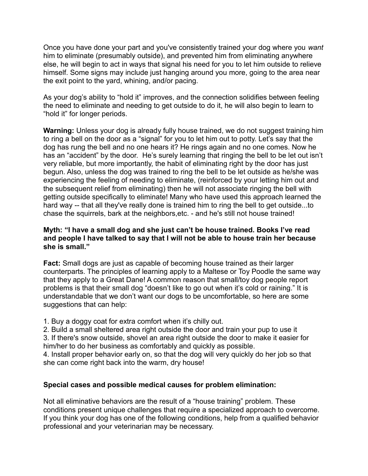Once you have done your part and you've consistently trained your dog where you *want* him to eliminate (presumably outside), and prevented him from eliminating anywhere else, he will begin to act in ways that signal his need for you to let him outside to relieve himself. Some signs may include just hanging around you more, going to the area near the exit point to the yard, whining, and/or pacing.

As your dog's ability to "hold it" improves, and the connection solidifies between feeling the need to eliminate and needing to get outside to do it, he will also begin to learn to "hold it" for longer periods.

**Warning:** Unless your dog is already fully house trained, we do not suggest training him to ring a bell on the door as a "signal" for you to let him out to potty. Let's say that the dog has rung the bell and no one hears it? He rings again and no one comes. Now he has an "accident" by the door. He's surely learning that ringing the bell to be let out isn't very reliable, but more importantly, the habit of eliminating right by the door has just begun. Also, unless the dog was trained to ring the bell to be let outside as he/she was experiencing the feeling of needing to eliminate, (reinforced by your letting him out and the subsequent relief from eliminating) then he will not associate ringing the bell with getting outside specifically to eliminate! Many who have used this approach learned the hard way -- that all they've really done is trained him to ring the bell to get outside...to chase the squirrels, bark at the neighbors,etc. - and he's still not house trained!

### **Myth: "I have a small dog and she just can't be house trained. Books I've read and people I have talked to say that I will not be able to house train her because she is small."**

**Fact:** Small dogs are just as capable of becoming house trained as their larger counterparts. The principles of learning apply to a Maltese or Toy Poodle the same way that they apply to a Great Dane! A common reason that small/toy dog people report problems is that their small dog "doesn't like to go out when it's cold or raining." It is understandable that we don't want our dogs to be uncomfortable, so here are some suggestions that can help:

1. Buy a doggy coat for extra comfort when it's chilly out.

2. Build a small sheltered area right outside the door and train your pup to use it 3. If there's snow outside, shovel an area right outside the door to make it easier for him/her to do her business as comfortably and quickly as possible.

4. Install proper behavior early on, so that the dog will very quickly do her job so that she can come right back into the warm, dry house!

## **Special cases and possible medical causes for problem elimination:**

Not all eliminative behaviors are the result of a "house training" problem. These conditions present unique challenges that require a specialized approach to overcome. If you think your dog has one of the following conditions, help from a qualified behavior professional and your veterinarian may be necessary.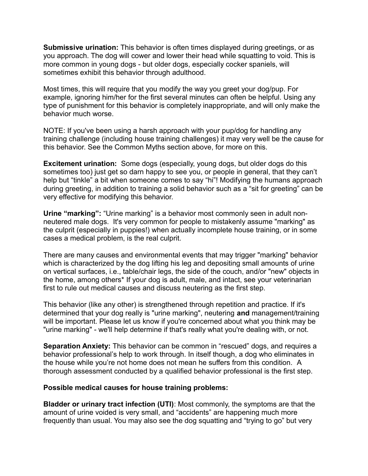**Submissive urination:** This behavior is often times displayed during greetings, or as you approach. The dog will cower and lower their head while squatting to void. This is more common in young dogs - but older dogs, especially cocker spaniels, will sometimes exhibit this behavior through adulthood.

Most times, this will require that you modify the way you greet your dog/pup. For example, ignoring him/her for the first several minutes can often be helpful. Using any type of punishment for this behavior is completely inappropriate, and will only make the behavior much worse.

NOTE: If you've been using a harsh approach with your pup/dog for handling any training challenge (including house training challenges) it may very well be the cause for this behavior. See the Common Myths section above, for more on this.

**Excitement urination:** Some dogs (especially, young dogs, but older dogs do this sometimes too) just get so darn happy to see you, or people in general, that they can't help but "tinkle" a bit when someone comes to say "hi"! Modifying the humans approach during greeting, in addition to training a solid behavior such as a "sit for greeting" can be very effective for modifying this behavior.

**Urine "marking":** "Urine marking" is a behavior most commonly seen in adult nonneutered male dogs. It's very common for people to mistakenly assume "marking" as the culprit (especially in puppies!) when actually incomplete house training, or in some cases a medical problem, is the real culprit.

There are many causes and environmental events that may trigger "marking" behavior which is characterized by the dog lifting his leg and depositing small amounts of urine on vertical surfaces, i.e., table/chair legs, the side of the couch, and/or "new" objects in the home, among others\* If your dog is adult, male, and intact, see your veterinarian first to rule out medical causes and discuss neutering as the first step.

This behavior (like any other) is strengthened through repetition and practice. If it's determined that your dog really is "urine marking", neutering **and** management/training will be important. Please let us know if you're concerned about what you think may be "urine marking" - we'll help determine if that's really what you're dealing with, or not.

**Separation Anxiety:** This behavior can be common in "rescued" dogs, and requires a behavior professional's help to work through. In itself though, a dog who eliminates in the house while you're not home does not mean he suffers from this condition. A thorough assessment conducted by a qualified behavior professional is the first step.

#### **Possible medical causes for house training problems:**

**Bladder or urinary tract infection (UTI)**: Most commonly, the symptoms are that the amount of urine voided is very small, and "accidents" are happening much more frequently than usual. You may also see the dog squatting and "trying to go" but very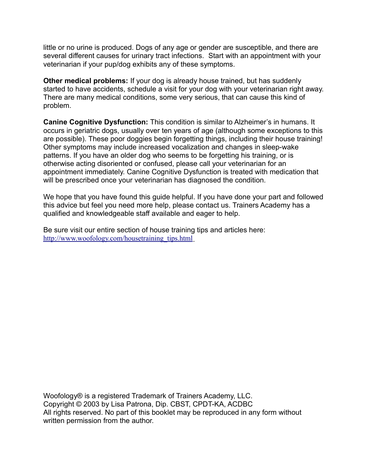little or no urine is produced. Dogs of any age or gender are susceptible, and there are several different causes for urinary tract infections. Start with an appointment with your veterinarian if your pup/dog exhibits any of these symptoms.

**Other medical problems:** If your dog is already house trained, but has suddenly started to have accidents, schedule a visit for your dog with your veterinarian right away. There are many medical conditions, some very serious, that can cause this kind of problem.

**Canine Cognitive Dysfunction:** This condition is similar to Alzheimer's in humans. It occurs in geriatric dogs, usually over ten years of age (although some exceptions to this are possible). These poor doggies begin forgetting things, including their house training! Other symptoms may include increased vocalization and changes in sleep-wake patterns. If you have an older dog who seems to be forgetting his training, or is otherwise acting disoriented or confused, please call your veterinarian for an appointment immediately. Canine Cognitive Dysfunction is treated with medication that will be prescribed once your veterinarian has diagnosed the condition.

We hope that you have found this guide helpful. If you have done your part and followed this advice but feel you need more help, please contact us. Trainers Academy has a qualified and knowledgeable staff available and eager to help.

Be sure visit our entire section of house training tips and articles here:  [http://www.woofology.com/housetraining\\_tips.html](http://www.woofology.com/housetraining_tips.html)

Woofology® is a registered Trademark of Trainers Academy, LLC. Copyright © 2003 by Lisa Patrona, Dip. CBST, CPDT-KA, ACDBC All rights reserved. No part of this booklet may be reproduced in any form without written permission from the author.